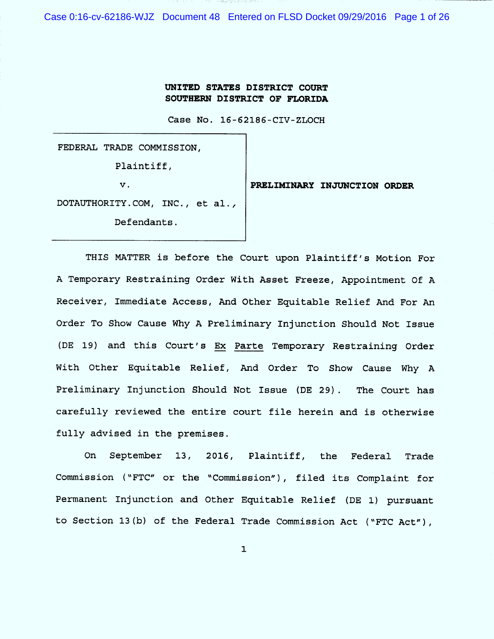Case 0:16-cv-62186-WJZ Document 48 Entered on FLSD Docket 09/29/2016 Page 1 of 26

### UNITED STATES DISTRICT COURT SOUTHERN DISTRICT OF FLORIDA

Case No. 16-62186-CIV-ZLOCH

FEDERAL TRADE COMMISSION , Plaintiff,

**v. PRELIMINARY INJUNCTION ORDER** 

DOTAUTHORITY.COM, INC., et al.,

Defendants .

THIS MATTER is before the Court upon Plaintiff's Motion For A Temporary Restraining Order With Asset Freeze, Appointment Of A Receiver, Immediate Access, And Other Equitable Relief And For An Order To Show Cause Why A Preliminary Injunction Should Not Issue (DE 19) and this Court's Ex Parte Temporary Restraining Order With Other Equitable Relief, And Order To Show Cause Why A Preliminary Injunction Should Not Issue (DE 29). The Court has carefully reviewed the entire court file herein and is otherwise fully advised in the premises .

On September l3, 2016, Plaintiff, the Federal Trade Commission ("FTC" or the "Commission"), filed its Complaint for Permanent Injunction and Other Equitable Relief (DE 1) pursuant to Section 13(b) of the Federal Trade Commission Act ("FTC Act"),

 $\mathbf{1}$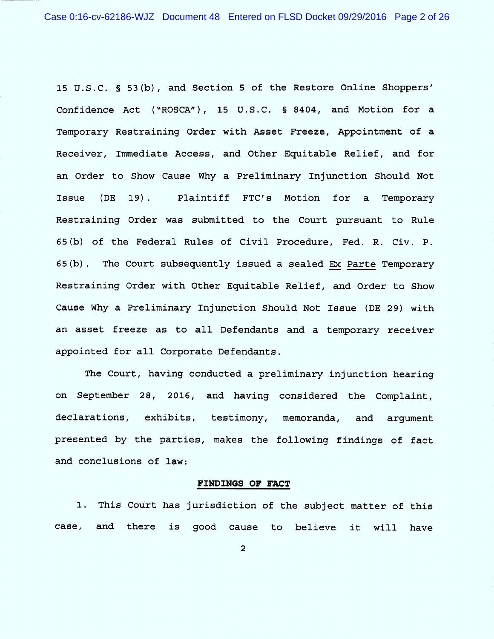15 U.S.C. 5 53(b), and Section 5 of the Restore Online Shoppers' Confidence Act ("ROSCA"), 15 U.S.C. § 8404, and Motion for a Temporary Restraining Order with Asset Freeze, Appointment of a Receiver, Immediate Access, and Other Equitable Relief, and for an Order to Show Cause Why a Preliminary Injunction Should Not Issue (DE 19). Plaintiff FTC'S Motion for a Temporary Restraining Order was submitted to the Court pursuant to Rule 65 (b) of the Federal Rules of Civil Procedure, Fed. R. Civ. P. 65(b). The Court subsequently issued a sealed Ex Parte Temporary Restraining Order with Other Equitable Relief, and Order to Show Cause Why a Preliminary Injunction Should Not Issue (DE 29) With an asset freeze as to all Defendants and a temporary receiver appointed for all Corporate Defendants .

The Court, having conducted a preliminary injunction hearing on September 28, 2016, and having considered the Complaint, declarations, exhibits, testimony, memoranda, and argument presented by the parties, makes the following findings of fact and conclusions of law:

#### FINDINGS OF FACT

This Court has jurisdiction of the subject matter of this case, and there is good cause to believe it will have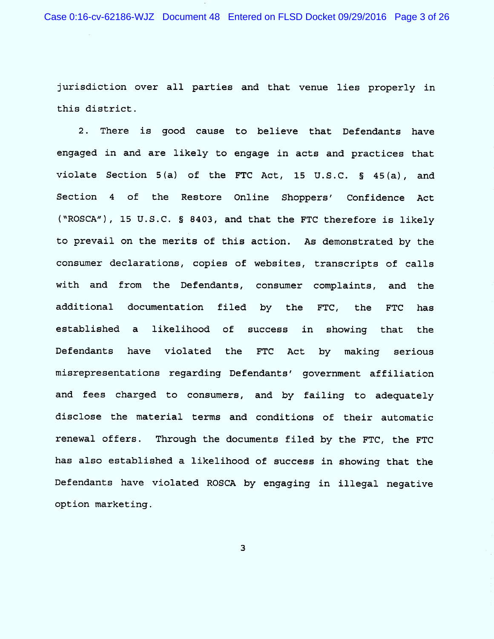Case 0:16-cv-62186-WJZ Document 48 Entered on FLSD Docket 09/29/2016 Page 3 of 26

jurisdiction over all parties and that venue lies properly in this district .

2. There is good cause to believe that Defendants have engaged in and are likely to engage in acts and practices that violate Section  $5(a)$  of the FTC Act, 15 U.S.C. § 45 $(a)$ , and Section 4 of the Restore Online Shoppers' Confidence Act ("ROSCA"), 15 U.S.C. § 8403, and that the FTC therefore is likely to prevail on the merits of this action. As demonstrated by the consumer declarations, copies of websites, transcripts of calls with and from the Defendants, consumer complaints, and the additional documentation filed by the FTC , the FTC has established a likelihood of success in showing that the Defendants have violated the FTC Act by making serious m isrepresentations regarding Defendants' government affiliation and fees charged to consumers, and by failing to adequately disclose the material terms and conditions of their automatic renewal offers. Through the documents filed by the FTC, the FTC has also established a likelihood of success in showing that the Defendants have violated ROSCA by engaging in illegal negative option marketing .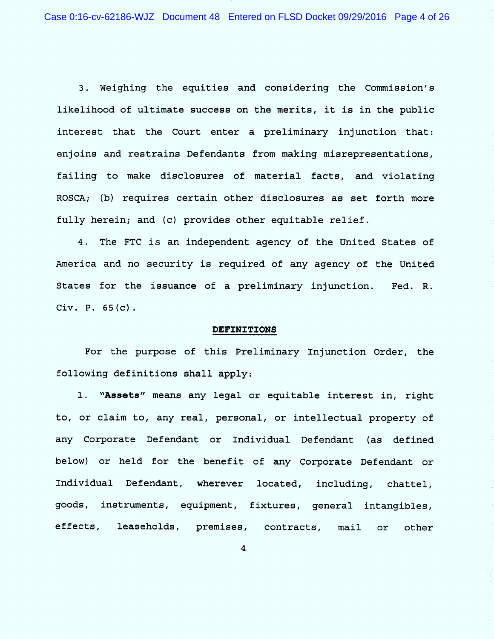3 . Weighing the equities and considering the Commission 's likelihood of ultimate success on the merits, it is in the public interest that the Court enter a preliminary injunction that: enjoins and restrains Defendants from making misrepresentations, failing to make disclosures of material facts, and violating ROSCA; (b) requires certain other disclosures as set forth more fully herein; and (c) provides other equitable relief.

4. The FTC is an independent agency of the United States of America and no security is required of any agency of the United States for the issuance of a preliminary injunction. Fed. Civ. P.  $65(c)$ .

#### DEFINITIONS

For the purpose of this Preliminary Injunction Order, the following definitions shall apply :

1. "Assets" means any legal or equitable interest in, right to, or claim to, any real, personal, or intellectual property of any Corporate Defendant or Individual Defendant (as defined below) or held for the benefit of any Corporate Defendant or Individual Defendant, wherever located, including, chattel, goods, instruments, equipment, fixtures, general intangibles, effects, leaseholds, premises, contracts, mail or other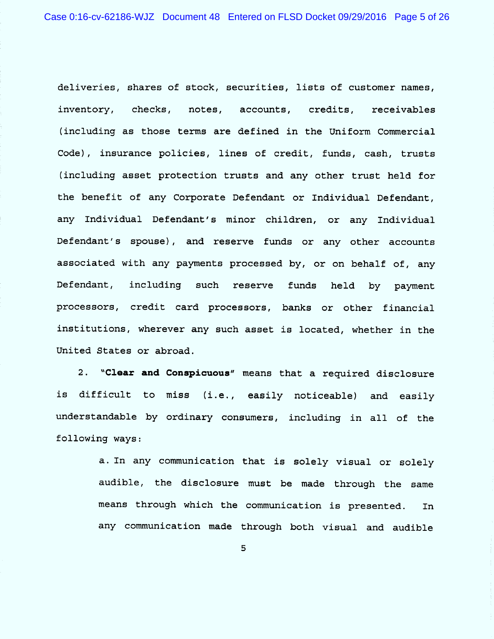deliveries, shares of stock, securities, lists of customer names, inventory, checks, notes, accounts, credits, receivables (including as those terms are defined in the Uniform Commercial Code), insurance policies, lines of credit, funds, cash, trusts (including asset protection trusts and any other trust held for the benefit of any Corporate Defendant or Individual Defendant, any Individual Defendant's minor children, or any Individual Defendant's spouse), and reserve funds or any other accounts associated with any payments processed by, or on behalf of, any Defendant, including such reserve funds held by payment processors, credit card processors, banks or other financial institutions, wherever any such asset is located, whether in the United States or abroad.

2. ''Clear and Conspicuous'' means that a required disclosure is difficult to miss (i.e., easily noticeable) and easily understandable by ordinary consumers, including in all of the following ways:

> a. In any communication that is solely visual or solely audible, the disclosure must be made through the same means through which the communication is presented. In any communication made through both visual and audible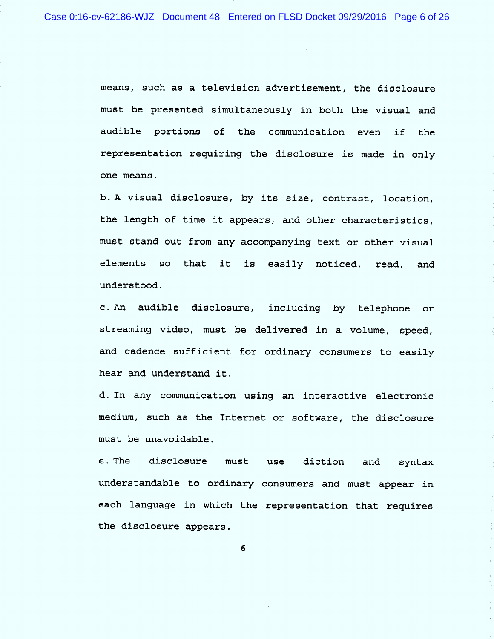means, such as a television advertisement, the disclosure must be presented simultaneously in both the visual and audible portions of the communication even if the representation requiring the disclosure is made in only one means.

b. A visual disclosure, by its size, contrast, location, the length of time it appears, and other characteristics, must stand out from any accompanying text or other visual elements so that it is easily noticed, read, and understood .

c. An audible disclosure, including by telephone or streaming video, must be delivered in a volume, speed, and cadence sufficient for ordinary consumers to easily hear and understand it .

d. In any communication using an interactive electronic medium, such as the Internet or software, the disclosure must be unavoidable.

e . The disclosure must use diction and syntax understandable to ordinary consumers and must appear in each language in which the representation that requires the disclosure appears .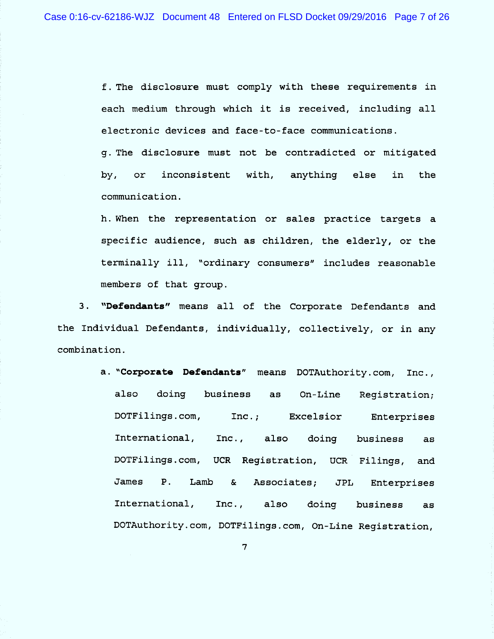f . The disclosure must comply With these requirements in each medium through which it is received, including all electronic devices and face-to -face communications .

g. The disclosure must not be contradicted or mitigated by, or inconsistent with, anything else in the communication .

h. When the representation or sales practice targets a specific audience, such as children, the elderly, or the terminally ill, "ordinary consumers" includes reasonable members of that group .

3. "Defendants" means all of the Corporate Defendants and the Individual Defendants, individually, collectively, or in any combination .

> a. "Corporate Defendants" means DOTAuthority.com, Inc., also doing business as On-Line Registration; DoTFilings .com , InC .; Excelsior Enterprises International, Inc., also doing business as DOTFilings.com, UCR Registration, UCR Filings, and James  $P_{\perp}$ Lamb & Associates; JPL Enterprises International, Inc., also doing business as DOTAuthority.com, DOTFilings.com, On-Line Registration,

> > $\overline{7}$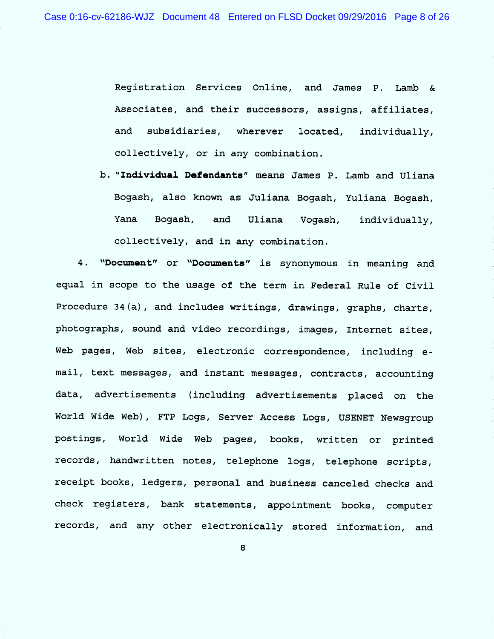Registration Services Online, and James P. Lamb & Associates, and their successors, assigns, affiliates, and subsidiaries, wherever located, individually, collectively, or in any combination.

b. "Individual Defendants" means James P. Lamb and Uliana Bogash, also known as Juliana Bogash, Yuliana Bogash, Yana Bogash, and Uliana Voqash, collectively, and in any combination. individually ,

"Document" or "Documents" is synonymous in meaning and  $4.$ equal in scope to the usage of the term in Federal Rule of Civil Procedure 34 (a), and includes writings, drawings, graphs, charts, photographs, sound and video recordings, images, Internet sites, Web pages, Web sites, electronic correspondence, including email, text messages, and instant messages, contracts, accounting data, advertisements (including advertisements placed on the World Wide Web), FTP Logs, Server Access Logs, USENET Newsgroup postings, World Wide Web pages, books, written or printed records, handwritten notes, telephone logs, telephone scripts, receipt books, ledgers, personal and business canceled checks and check registers, bank statements, appointment books, computer records, and any other electronically stored information, and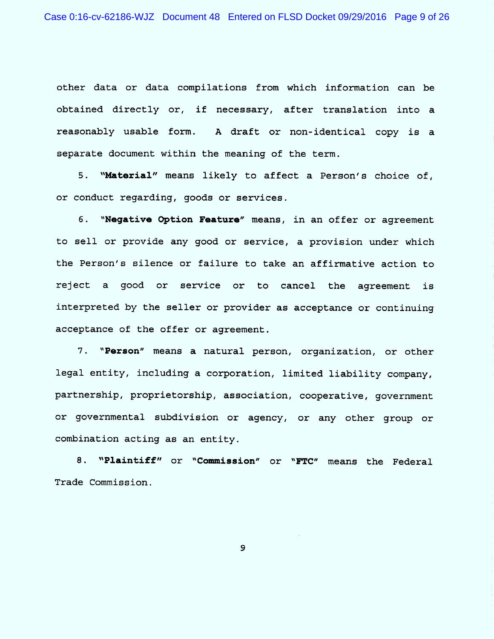other data or data compilations from which information can be obtained directly or, if necessary, after translation into a reasonably usable form. A draft or non-identical copy is a separate document within the meaning of the term.

5. "Material" means likely to affect a Person's choice of, or conduct regarding, goods or services.

6. "Negative Option Feature" means, in an offer or agreement to sell or provide any good or service, a provision under which the Person's silence or failure to take an affirmative action to reject a good or service or to cancel the agreement is interpreted by the seller or provider as acceptance or continuing acceptance of the offer or agreement .

7. "Person" means a natural person, organization, or other legal entity, including a corporation, limited liability company, partnership, proprietorship, association, cooperative, government or governmental subdivision or agency, or any other group or combination acting as an entity .

8. "Plaintiff" or "Commission" or "FTC" means the Federal Trade Commission .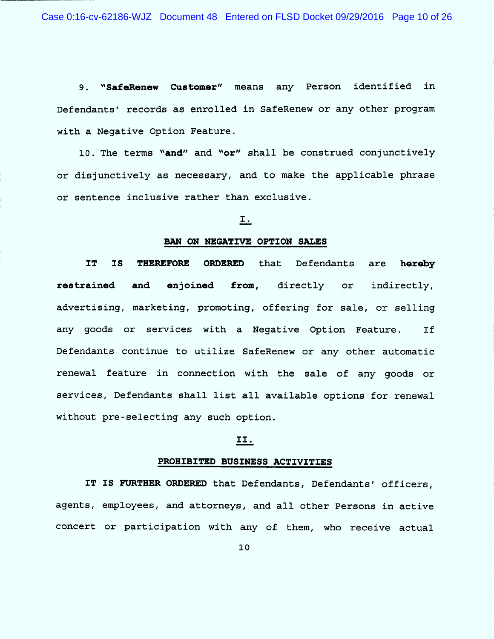9. "SafeRenew Customer" means any Person identified in Defendants' records as enrolled in SafeRenew or any other program with a Negative Option Feature .

10. The terms "and" and "or" shall be construed conjunctively or disjunctively as necessary, and to make the applicable phrase or sentence inclusive rather than exclusive .

### 1 .

### BAN ON NEGATIVE OPTION SALES

IT IS THEREFORE ORDERED that Defendants are hereby restrained and enjoined from, directly or indirectly, advertising, marketing, promoting, offering for sale, or selling any goods or services with a Negative Option Feature. If Defendants continue to utilize SafeRenew or any other automatic renewal feature in connection with the sale of any goods or services, Defendants shall list all available options for renewal without pre-selecting any such option.

### II.

#### PROHIBITED BUSINESS ACTIVITIES

IT IS FURTHER ORDERED that Defendants, Defendants' officers, agents, employees, and attorneys, and all other Persons in active concert or participation with any of them, who receive actual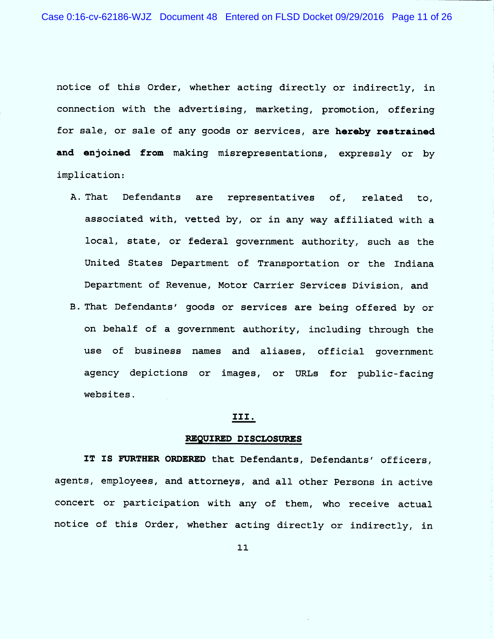notice of this Order, whether acting directly or indirectly, in connection with the advertising, marketing, promotion, offering for sale, or sale of any goods or services, are hereby restrained and enjoined from making misrepresentations, expressly or by implication:

- A . That Defendants are representatives of, related to, associated with, vetted by, or in any way affiliated with a local, state, or federal government authority, such as the United States Department of Transportation or the Indiana Department of Revenue, Motor Carrier Services Division, and
- B . That Defendants' goods or services are being offered by or on behalf of a government authority, including through the use of business names and aliases, official government agency depictions or images, or URLs for public-facing websites .

### 111 .

#### REQUIRED DISCLOSURES

IT IS FURTHER ORDERED that Defendants, Defendants' officers, agents, employees, and attorneys, and all other Persons in active concert or participation with any of them, who receive actual notice of this Order, whether acting directly or indirectly, in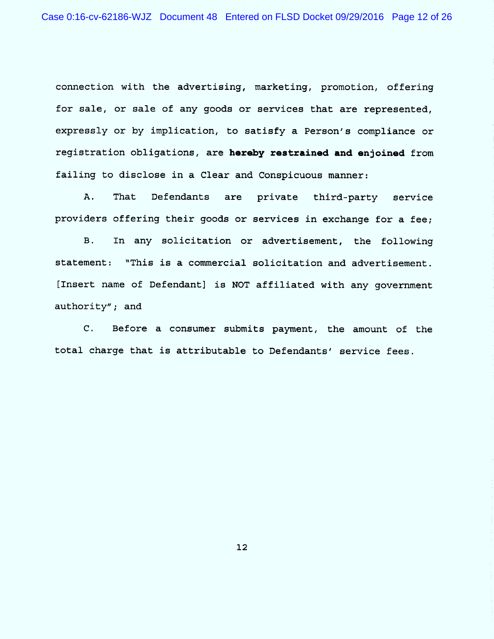connection with the advertising, marketing, promotion, offering for sale, or sale of any goods or services that are represented, expressly or by implication, to satisfy a Person's compliance or registration obligations, are hereby restrained and enjoined from failing to disclose in a Clear and Conspicuous manner:

A. That Defendants are private third-party service providers offering their goods or services in exchange for a fee ;

B. In any solicitation or advertisement, the following statement: "This is a commercial solicitation and advertisement. (Insert name of Defendant) is NOT affiliated with any government authority"; and

 $\mathsf{C}$ . Before a consumer submits payment, the amount of the total charge that is attributable to Defendants' service fees .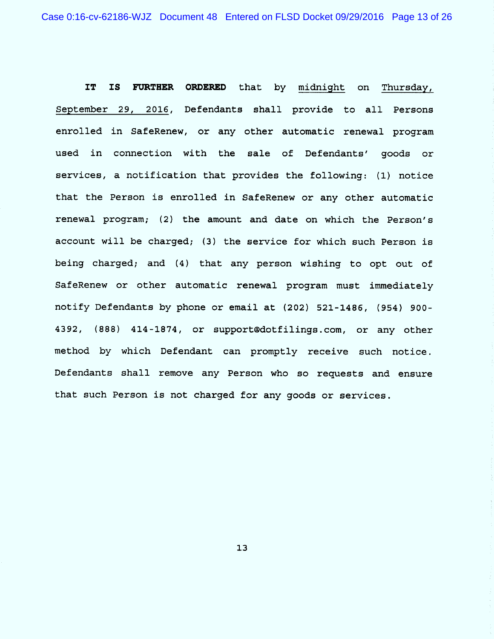IT IS FURTHER ORDERED that by midnight on Thursday, September 29, 2016, Defendants shall provide to all Persons enrolled in SafeRenew, or any other automatic renewal program used in connection with the sale of Defendants' goods or services, a notification that provides the following: (1) notice that the Person is enrolled in SafeRenew or any other automatic renewal program; (2) the amount and date on which the Person's account will be charged; (3) the service for which such Person is being charged; and (4) that any person wishing to opt out of SafeRenew or other automatic renewal program must immediately notify Defendants by phone or email at (202) 521-1486, (954) 900- 4392, (888) 414-1874, or support@dotfilings.com, or any other method by which Defendant can promptly receive such notice . Defendants shall remove any Person who so requests and ensure that such Person is not charged for any goods or services .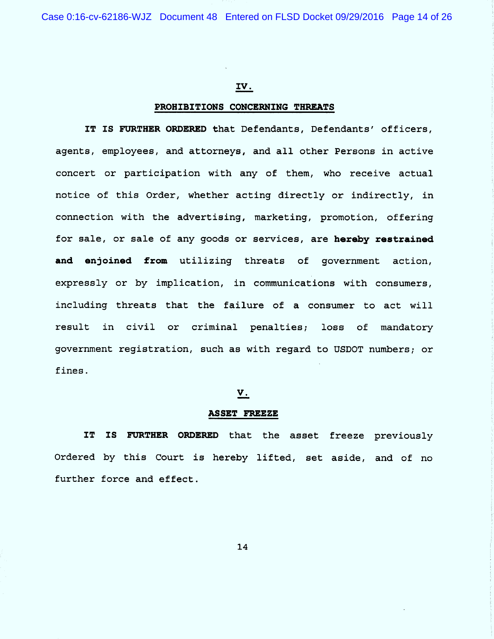### IV.

### PROHIBITIONS CONCERNING THREATS

IT IS FURTHER ORDERED that Defendants, Defendants' officers, agents, employees, and attorneys, and all other Persons in active concert or participation with any of them, who receive actual notice of this Order, whether acting directly or indirectly, in connection with the advertising, marketing, promotion, offering for sale, or sale of any goods or services, are hereby restrained and enjoined from utilizing threats of government action, expressly or by implication, in communications with consumers, including threats that the failure of a consumer to act will result in civil or criminal penalties; loss of mandatory government registration, such as with regard to USDOT numbers; or fines .

#### V.

#### ASSET FREEZE

IT IS FURTHER ORDERED that the asset freeze previously Ordered by this Court is hereby lifted, set aside, and of no further force and effect .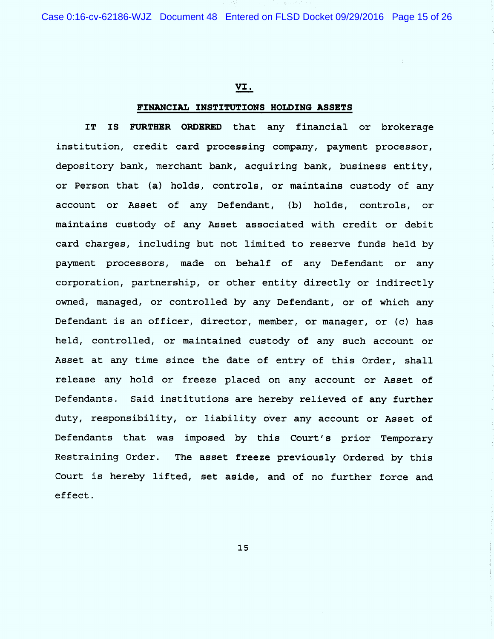Case 0:16-cv-62186-WJZ Document 48 Entered on FLSD Docket 09/29/2016 Page 15 of 26

### VI.

#### FINANCIAL INSTITUTIONS HOLDING ASSETS

IT IS FURTHER ORDERED that any financial or brokerage institution, credit card processing company, payment processor, depository bank, merchant bank, acquiring bank, business entity, or Person that (a) holds, controls, or maintains custody of any account or Asset of any Defendant, (b) holds, controls, or maintains custody of any Asset associated with credit or debit card charges, including but not limited to reserve funds held by payment processors, made on behalf of any Defendant or any corporation, partnership, or other entity directly or indirectly owned, managed, or controlled by any Defendant, or of which any Defendant is an officer, director, member, or manager, or (c) has held, controlled, or maintained custody of any such account or Asset at any time since the date of entry of this Order, shall release any hold or freeze placed on any account or Asset of Defendants. Said institutions are hereby relieved of any further duty, responsibility, or liability over any account or Asset of Defendants that was imposed by this Court's prior Temporary Restraining Order. The asset freeze previously Ordered by this Court is hereby lifted, set aside, and of no further force and effect .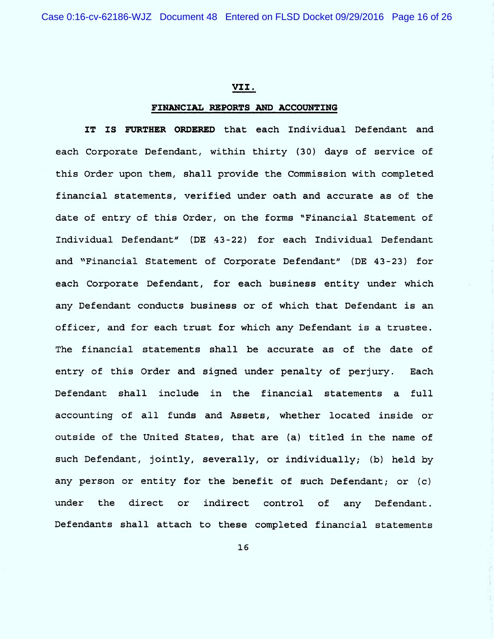### VII.

### FINANCIAL REPORTS AND ACCOUNTING

IT IS FURTHER ORDERED that each Individual Defendant and each Corporate Defendant, within thirty (30) days of service of this Order upon them, shall provide the Commission with completed financial statements, verified under oath and accurate as of the date of entry of this Order, on the forms "Financial Statement of Individual Defendant'' (DE 43-22) for each Individual Defendant and "Financial Statement of Corporate Defendant" (DE 43-23) for each Corporate Defendant, for each business entity under which any Defendant conducts business or of which that Defendant is an officer, and for each trust for which any Defendant is a trustee . The financial statements shall be accurate as of the date of entry of this Order and signed under penalty of perjury. Each Defendant shall include in the financial statements a full accounting of all funds and Assets, whether located inside or outside of the United States, that are (a) titled in the name of such Defendant, jointly, severally, or individually; (b) held by any person or entity for the benefit of such Defendant; or (c) under the direct or indirect control of any Defendant. Defendants shall attach to these completed financial statements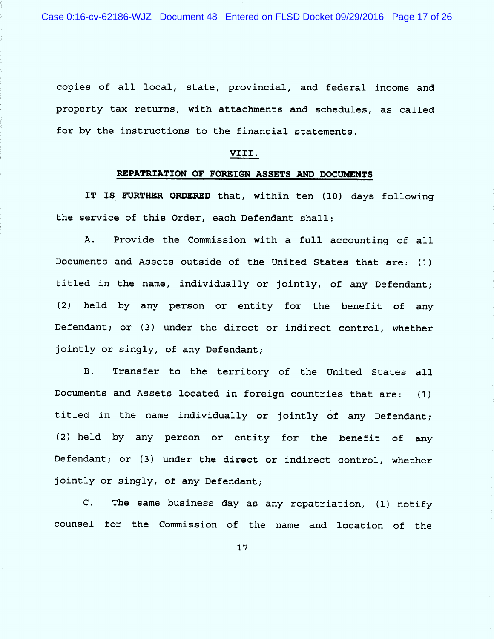Case 0:16-cv-62186-WJZ Document 48 Entered on FLSD Docket 09/29/2016 Page 17 of 26

copies of all local, state, provincial, and federal income and property tax returns, with attachments and schedules, as called for by the instructions to the financial statements.

### VIII.

# REPATRIATION OF FOREIGN ASSETS AND DOCUMENTS

IT IS FURTHER ORDERED that, within ten (10) days following the service of this Order, each Defendant shall:

 $A.$ Provide the Commission with a full accounting of all Documents and Assets outside of the United States that are: (1) titled in the name, individually or jointly, of any Defendant; held by any person or entity for the benefit of any  $(2)$ Defendant; or (3) under the direct or indirect control, whether jointly or singly, of any Defendant;

B. Transfer to the territory of the United States all Documents and Assets located in foreign countries that are: (l) titled in the name individually or jointly of any Defendant; (2) held by any person or entity for the benefit of any Defendant; or (3) under the direct or indirect control, whether jointly or singly, of any Defendant;

C. The same business day as any repatriation,  $(1)$  notify counsel for the Commission of the name and location of the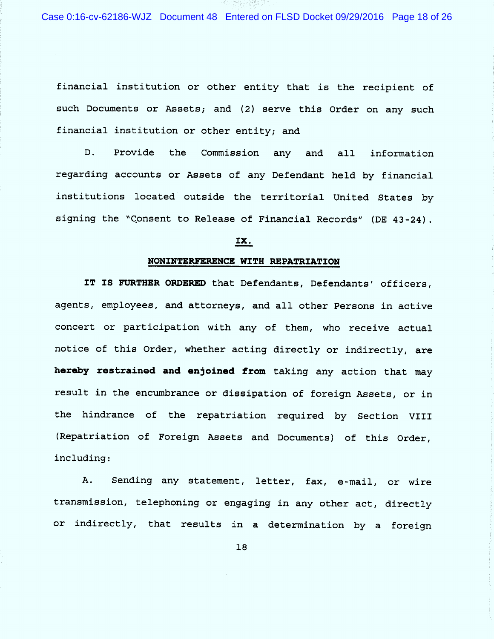Case 0:16-cv-62186-WJZ Document 48 Entered on FLSD Docket 09/29/2016 Page 18 of 26

financial institution or other entity that is the recipient of such Documents or Assets; and (2) serve this Order on any such financial institution or other entity; and

D. Provide the Commission any and all information regarding accounts or Assets of any Defendant held by financial institutions located outside the territorial United States by signing the ''Consent to Release of Financial Records'' (DE 43-24).

# IX .

#### NONINTERFERENCE WITH REPATRIATION

IT IS FURTHER ORDERED that Defendants, Defendants' officers, agents, employees, and attorneys, and all other Persons in active concert or participation with any of them, who receive actual notice of this Order, whether acting directly or indirectly, are hereby restrained and enjoined from taking any action that may result in the encumbrance or dissipation of foreign Assets, or in the hindrance of the repatriation required by Section VIII (Repatriation of Foreign Assets and Documents) of this Order, including :

A. Sending any statement, letter, fax, e-mail, or wire transmission, telephoning or engaging in any other act, directly or indirectly, that results in a determination by a foreign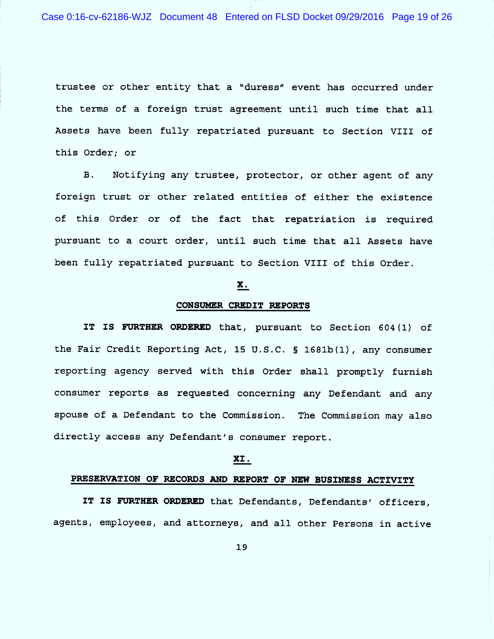Case 0:16-cv-62186-WJZ Document 48 Entered on FLSD Docket 09/29/2016 Page 19 of 26

trustee or other entity that a ''duress'' event has occurred under the terms of a foreign trust agreement until such time that all Assets have been fully repatriated pursuant to Section VIII of this Order; or

B. Notifying any trustee, protector, or other agent of any foreign trust or other related entities of either the existence of this Order or of the fact that repatriation is required pursuant to a court order, until such time that all Assets have been fully repatriated pursuant to Section VIII of this Order .

### X.

### CONSUMER CREDIT REPORTS

IT IS FURTHER ORDERED that, pursuant to Section 604(1) of the Fair Credit Reporting Act, 15 U.S.C. § 1681b(1), any consumer reporting agency served with this Order shall promptly furnish consumer reports as requested concerning any Defendant and any spouse of a Defendant to the Commission. The Commission may also directly access any Defendant's consumer report .

### XI .

# PRESERVATION OF RECORDS AND REPORT OF NEW BUSINESS ACTIVITY

IT IS FURTHER ORDERED that Defendants, Defendants' officers, agents, employees, and attorneys, and all other Persons in active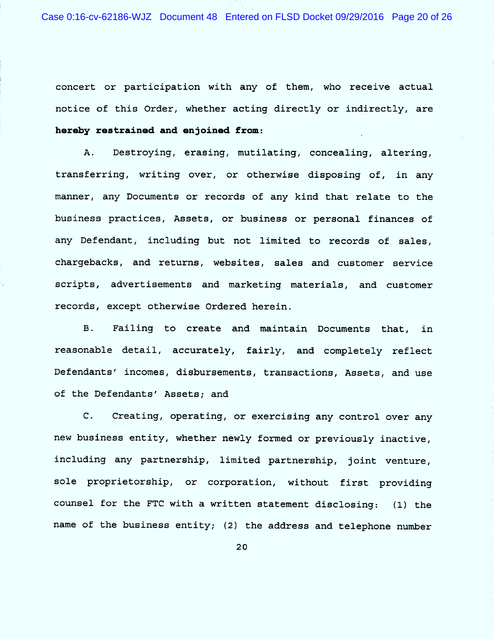concert or participation with any of them, who receive actual notice of this Order, whether acting directly or indirectly, are hereby restrained and enjoined from:

A. Destroying, erasing, mutilating, concealing, altering, transferring, writing over, or otherwise disposing of, in any manner, any Documents or records of any kind that relate to the business practices, Assets, or business or personal finances of any Defendant, including but not limited to records of sales, chargebacks, and returns, websites, sales and customer service scripts, advertisements and marketing materials, and customer records, except otherwise Ordered herein.

B. Failing to create and maintain Documents that, in reasonable detail, accurately, fairly, and completely reflect Defendants' incomes, disbursements, transactions, Assets, and use of the Defendants' Assets; and

C. Creating, operating, or exercising any control over any new business entity, whether newly formed or previously inactive, including any partnership, limited partnership, joint venture, sole proprietorship, or corporation, without first providing counsel for the FTC with a written statement disclosing: (1) the name of the business entity; (2) the address and telephone number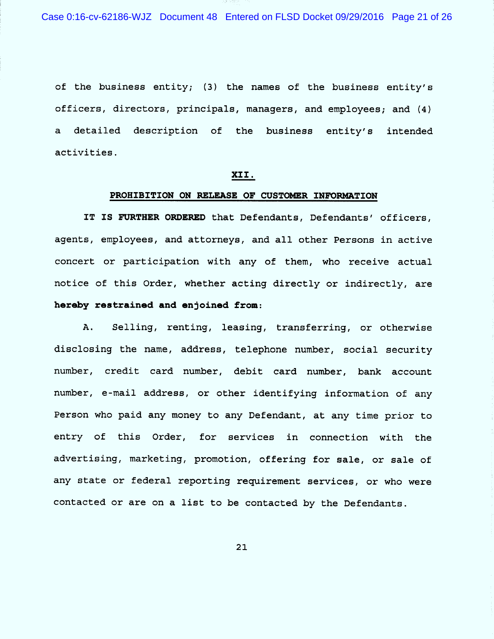Case 0:16-cv-62186-WJZ Document 48 Entered on FLSD Docket 09/29/2016 Page 21 of 26

of the business entity; (3) the names of the business entity's officers, directors, principals, managers, and employees; and (4) a detailed description of the business entity's intended activities .

# XII.

#### PROHIBITION ON RELEASE OF CUSTOMER INFORMATION

IT IS FURTHER ORDERED that Defendants, Defendants' officers, agents, employees, and attorneys, and all other Persons in active concert or participation with any of them, who receive actual notice of this Order, whether acting directly or indirectly, are hereby restrained and enjoined from:

A. Selling, renting, leasing, transferring, or otherwise disclosing the name, address, telephone number, social security number, credit card number, debit card number, bank account number, e-mail address, or other identifying information of any Person who paid any money to any Defendant, at any time prior to entry of this Order, for services in connection with the advertising, marketing, promotion, offering for sale, or sale of any state or federal reporting requirement services, or who were contacted or are on a list to be contacted by the Defendants .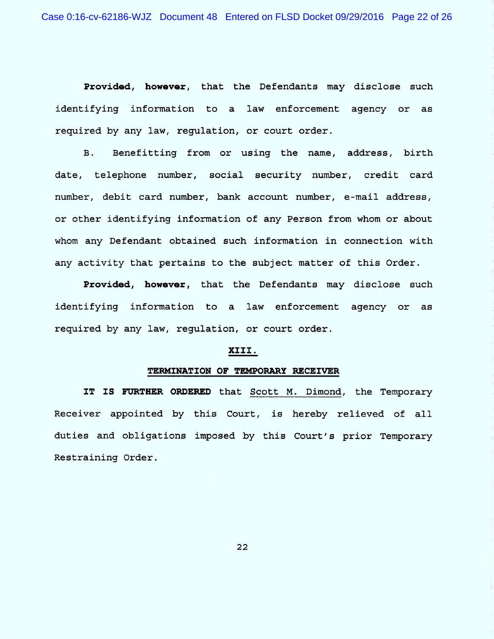Provided, however, that the Defendants may disclose such identifying information to a law enforcement agency or as required by any law, requlation, or court order.

B. Benefitting from or using the name, address, birth date, telephone number, social security number, credit card number, debit card number, bank account number, e-mail address, or other identifying information of any Person from whom or about whom any Defendant obtained such information in connection with any activity that pertains to the subject matter of this Order.

Provided, however, that the Defendants may disclose such identifying information to a law enforcement agency or as required by any law, regulation, or court order.

### XIII .

#### TERMINATION OF TEMPORARY RECEIVER

IT IS FURTHER ORDERED that Scott M. Dimond, the Temporary Receiver appointed by this Court, is hereby relieved of a1l duties and obligations imposed by this Court's prior Temporary Restraining Order .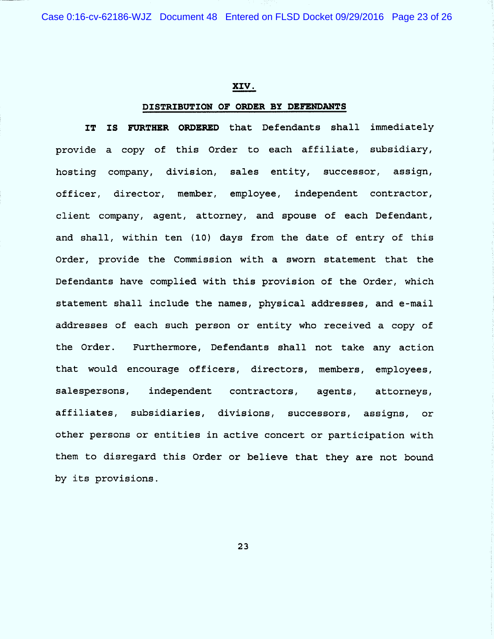Case 0:16-cv-62186-WJZ Document 48 Entered on FLSD Docket 09/29/2016 Page 23 of 26

### XIV.

### DISTRIBUTION OF ORDER BY DEFENDANTS

IT IS FURTHER ORDERED that Defendants shall immediately provide a copy of this Order to each affiliate, subsidiary, hosting company, division, sales entity, successor, assign, officer, director, member, employee, independent contractor, client company, agent, attorney, and spouse of each Defendant, and shall, within ten (10) days from the date of entry of this Order, provide the Commission with a sworn statement that the Defendants have complied with this provision of the Order, which statement shall include the names, physical addresses, and e -mail addresses of each such person or entity who received a copy of the Order. Furthermore, Defendants shall not take any action that would encourage officers, directors, members, employees, salespersons, independent contractors, agents, attorneys, affiliates, subsidiaries, divisions, successors , assigns , or other persons or entities in active concert or participation with them to disregard this Order or believe that they are not bound by its provisions.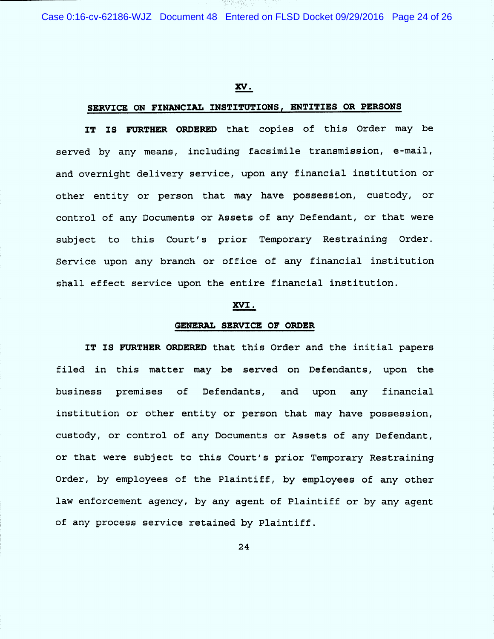Case 0:16-cv-62186-WJZ Document 48 Entered on FLSD Docket 09/29/2016 Page 24 of 26

### W=

## SERVICE ON FINANCIAL INSTITUTIONS, ENTITIES OR PERSONS

IT IS FURTHER ORDERED that copies of this Order may be served by any means, including facsimile transmission, e-mail, and overnight delivery service, upon any financial institution or other entity or person that may have possession, custody, or control of any Documents or Assets of any Defendant, or that were subject to this Court's prior Temporary Restraining Order. Service upon any branch or office of any financial institution shall effect service upon the entire financial institution.

### XVI.

#### GENERAL SERVICE OF ORDER

IT IS FURTHER ORDERED that this Order and the initial papers filed in this matter may be served on Defendants, upon the business premises of Defendants, and upon any financial institution or other entity or person that may have possession, custody, or control of any Documents or Assets of any Defendant, or that were subject to this Court's prior Temporary Restraining Order, by employees of the Plaintiff, by employees of any other law enforcement agency, by any agent of Plaintiff or by any agent of any process service retained by Plaintiff .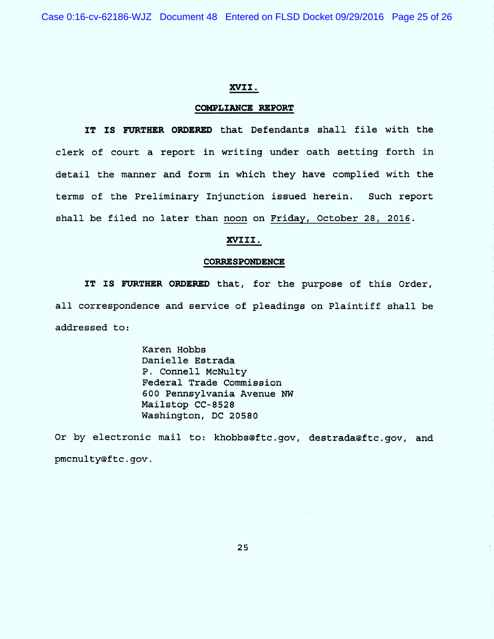Case 0:16-cv-62186-WJZ Document 48 Entered on FLSD Docket 09/29/2016 Page 25 of 26

### XVII .

### COMPLIANCE REPORT

IT IS FURTHER ORDERED that Defendants shall file with the clerk of court a report in writing under oath setting forth in detail the manner and form in which they have complied with the terms of the Preliminary Injunction issued herein. Such report shall be filed no later than noon on Friday, October 28, 2016.

## XVIII.

#### CORRESPONDENCE

IT IS FURTHER ORDERED that, for the purpose of this Order, all correspondence and service of pleadings on Plaintiff shall be addressed to :

> Karen Hobbs Danielle Estrada P. Connell McNulty Federal Trade Commission 600 Pennsylvania Avenue NW Mailstop CC-8528 Washington, DC 20580

Or by electronic mail to: khobbs@ftc.gov, destrada@ftc.gov, and pmcnulty@ftc .gov .